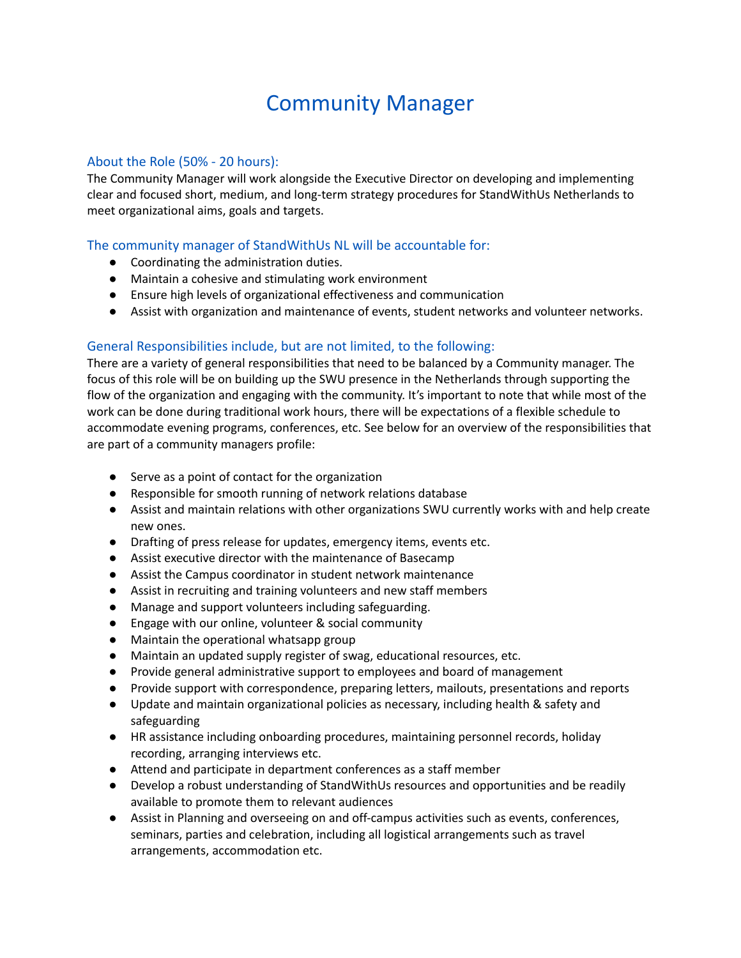# Community Manager

## About the Role (50% - 20 hours):

The Community Manager will work alongside the Executive Director on developing and implementing clear and focused short, medium, and long-term strategy procedures for StandWithUs Netherlands to meet organizational aims, goals and targets.

## The community manager of StandWithUs NL will be accountable for:

- Coordinating the administration duties.
- Maintain a cohesive and stimulating work environment
- Ensure high levels of organizational effectiveness and communication
- Assist with organization and maintenance of events, student networks and volunteer networks.

# General Responsibilities include, but are not limited, to the following:

There are a variety of general responsibilities that need to be balanced by a Community manager. The focus of this role will be on building up the SWU presence in the Netherlands through supporting the flow of the organization and engaging with the community. It's important to note that while most of the work can be done during traditional work hours, there will be expectations of a flexible schedule to accommodate evening programs, conferences, etc. See below for an overview of the responsibilities that are part of a community managers profile:

- Serve as a point of contact for the organization
- Responsible for smooth running of network relations database
- Assist and maintain relations with other organizations SWU currently works with and help create new ones.
- Drafting of press release for updates, emergency items, events etc.
- Assist executive director with the maintenance of Basecamp
- Assist the Campus coordinator in student network maintenance
- Assist in recruiting and training volunteers and new staff members
- Manage and support volunteers including safeguarding.
- Engage with our online, volunteer & social community
- Maintain the operational whatsapp group
- Maintain an updated supply register of swag, educational resources, etc.
- Provide general administrative support to employees and board of management
- Provide support with correspondence, preparing letters, mailouts, presentations and reports
- Update and maintain organizational policies as necessary, including health & safety and safeguarding
- HR assistance including onboarding procedures, maintaining personnel records, holiday recording, arranging interviews etc.
- Attend and participate in department conferences as a staff member
- Develop a robust understanding of StandWithUs resources and opportunities and be readily available to promote them to relevant audiences
- Assist in Planning and overseeing on and off-campus activities such as events, conferences, seminars, parties and celebration, including all logistical arrangements such as travel arrangements, accommodation etc.